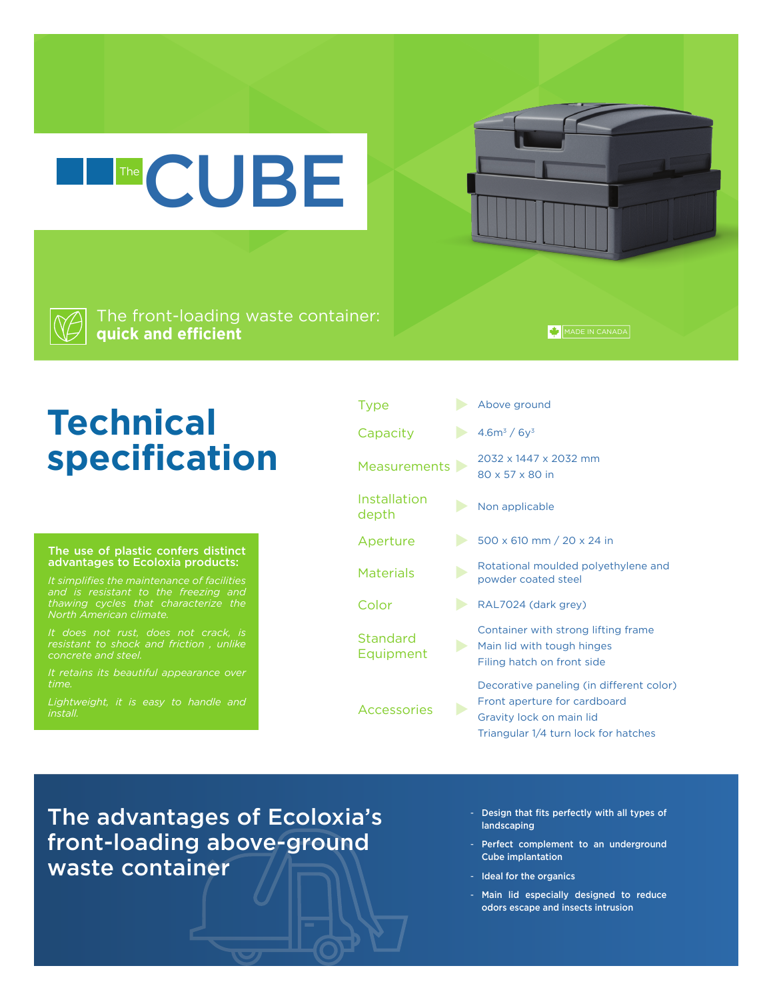The front-loading waste container: **quick and efficient**

The CUBE

#### MADE IN CANADA

# **Technical specification**

#### The use of plastic confers distinct advantages to Ecoloxia products:

*and is resistant to the freezing and* 

*concrete and steel.* 

*It retains its beautiful appearance over time.* 

| Type                  | Above ground                                                                                                                                 |
|-----------------------|----------------------------------------------------------------------------------------------------------------------------------------------|
| Capacity              | $4.6m^3 / 6y^3$                                                                                                                              |
| <b>Measurements</b>   | 2032 x 1447 x 2032 mm<br>80 x 57 x 80 in                                                                                                     |
| Installation<br>depth | Non applicable                                                                                                                               |
| Aperture              | 500 x 610 mm / 20 x 24 in                                                                                                                    |
| <b>Materials</b>      | Rotational moulded polyethylene and<br>powder coated steel                                                                                   |
| Color                 | RAL7024 (dark grey)                                                                                                                          |
| Standard<br>Equipment | Container with strong lifting frame<br>Main lid with tough hinges<br>Filing hatch on front side                                              |
| <b>Accessories</b>    | Decorative paneling (in different color)<br>Front aperture for cardboard<br>Gravity lock on main lid<br>Triangular 1/4 turn lock for hatches |

The advantages of Ecoloxia's front-loading above-ground waste container

- Design that fits perfectly with all types of landscaping
- Perfect complement to an underground Cube implantation
- Ideal for the organics
- Main lid especially designed to reduce odors escape and insects intrusion